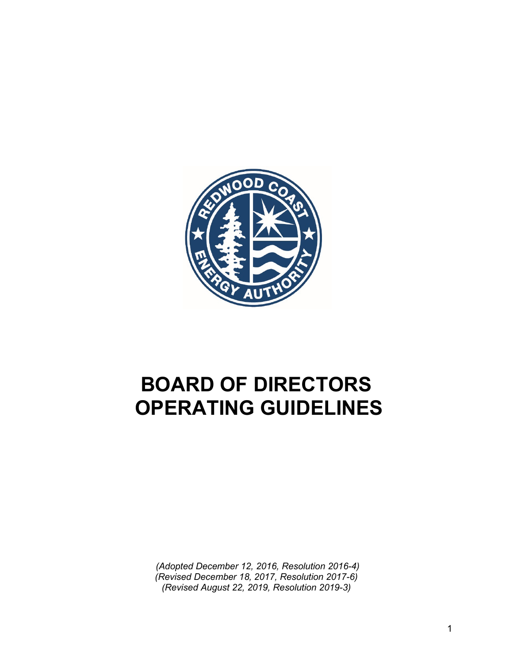

# **BOARD OF DIRECTORS OPERATING GUIDELINES**

*(Adopted December 12, 2016, Resolution 2016-4) (Revised December 18, 2017, Resolution 2017-6) (Revised August 22, 2019, Resolution 2019-3)*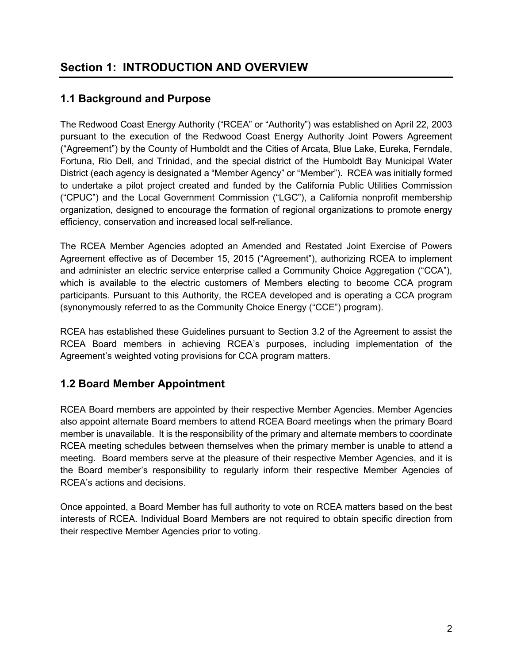# **1.1 Background and Purpose**

The Redwood Coast Energy Authority ("RCEA" or "Authority") was established on April 22, 2003 pursuant to the execution of the Redwood Coast Energy Authority Joint Powers Agreement ("Agreement") by the County of Humboldt and the Cities of Arcata, Blue Lake, Eureka, Ferndale, Fortuna, Rio Dell, and Trinidad, and the special district of the Humboldt Bay Municipal Water District (each agency is designated a "Member Agency" or "Member"). RCEA was initially formed to undertake a pilot project created and funded by the California Public Utilities Commission ("CPUC") and the Local Government Commission ("LGC"), a California nonprofit membership organization, designed to encourage the formation of regional organizations to promote energy efficiency, conservation and increased local self-reliance.

The RCEA Member Agencies adopted an Amended and Restated Joint Exercise of Powers Agreement effective as of December 15, 2015 ("Agreement"), authorizing RCEA to implement and administer an electric service enterprise called a Community Choice Aggregation ("CCA"), which is available to the electric customers of Members electing to become CCA program participants. Pursuant to this Authority, the RCEA developed and is operating a CCA program (synonymously referred to as the Community Choice Energy ("CCE") program).

RCEA has established these Guidelines pursuant to Section 3.2 of the Agreement to assist the RCEA Board members in achieving RCEA's purposes, including implementation of the Agreement's weighted voting provisions for CCA program matters.

# **1.2 Board Member Appointment**

RCEA Board members are appointed by their respective Member Agencies. Member Agencies also appoint alternate Board members to attend RCEA Board meetings when the primary Board member is unavailable. It is the responsibility of the primary and alternate members to coordinate RCEA meeting schedules between themselves when the primary member is unable to attend a meeting. Board members serve at the pleasure of their respective Member Agencies, and it is the Board member's responsibility to regularly inform their respective Member Agencies of RCEA's actions and decisions.

Once appointed, a Board Member has full authority to vote on RCEA matters based on the best interests of RCEA. Individual Board Members are not required to obtain specific direction from their respective Member Agencies prior to voting.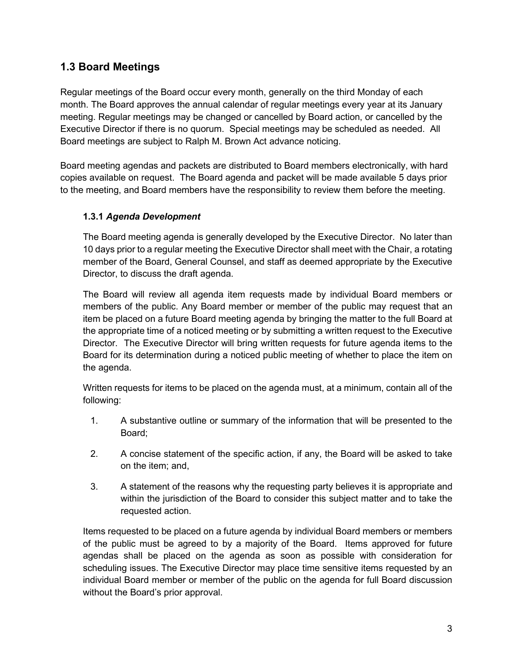## **1.3 Board Meetings**

Regular meetings of the Board occur every month, generally on the third Monday of each month. The Board approves the annual calendar of regular meetings every year at its January meeting. Regular meetings may be changed or cancelled by Board action, or cancelled by the Executive Director if there is no quorum. Special meetings may be scheduled as needed. All Board meetings are subject to Ralph M. Brown Act advance noticing.

Board meeting agendas and packets are distributed to Board members electronically, with hard copies available on request. The Board agenda and packet will be made available 5 days prior to the meeting, and Board members have the responsibility to review them before the meeting.

### **1.3.1** *Agenda Development*

The Board meeting agenda is generally developed by the Executive Director. No later than 10 days prior to a regular meeting the Executive Director shall meet with the Chair, a rotating member of the Board, General Counsel, and staff as deemed appropriate by the Executive Director, to discuss the draft agenda.

The Board will review all agenda item requests made by individual Board members or members of the public. Any Board member or member of the public may request that an item be placed on a future Board meeting agenda by bringing the matter to the full Board at the appropriate time of a noticed meeting or by submitting a written request to the Executive Director. The Executive Director will bring written requests for future agenda items to the Board for its determination during a noticed public meeting of whether to place the item on the agenda.

Written requests for items to be placed on the agenda must, at a minimum, contain all of the following:

- 1. A substantive outline or summary of the information that will be presented to the Board;
- 2. A concise statement of the specific action, if any, the Board will be asked to take on the item; and,
- 3. A statement of the reasons why the requesting party believes it is appropriate and within the jurisdiction of the Board to consider this subject matter and to take the requested action.

Items requested to be placed on a future agenda by individual Board members or members of the public must be agreed to by a majority of the Board. Items approved for future agendas shall be placed on the agenda as soon as possible with consideration for scheduling issues. The Executive Director may place time sensitive items requested by an individual Board member or member of the public on the agenda for full Board discussion without the Board's prior approval.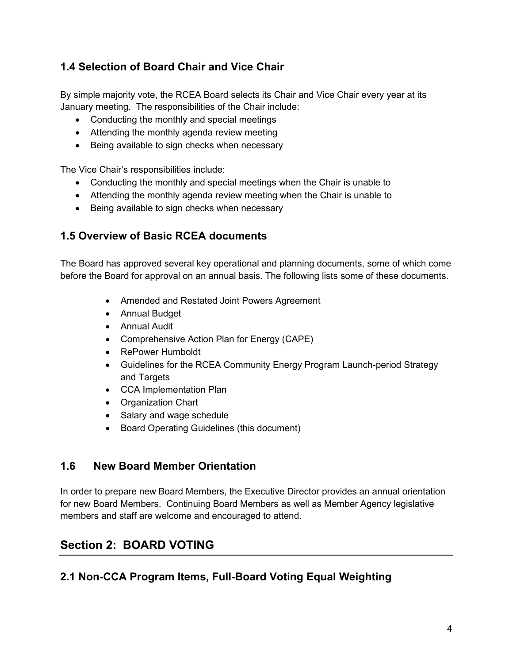# **1.4 Selection of Board Chair and Vice Chair**

By simple majority vote, the RCEA Board selects its Chair and Vice Chair every year at its January meeting. The responsibilities of the Chair include:

- Conducting the monthly and special meetings
- Attending the monthly agenda review meeting
- Being available to sign checks when necessary

The Vice Chair's responsibilities include:

- Conducting the monthly and special meetings when the Chair is unable to
- Attending the monthly agenda review meeting when the Chair is unable to
- Being available to sign checks when necessary

### **1.5 Overview of Basic RCEA documents**

The Board has approved several key operational and planning documents, some of which come before the Board for approval on an annual basis. The following lists some of these documents.

- Amended and Restated Joint Powers Agreement
- Annual Budget
- Annual Audit
- Comprehensive Action Plan for Energy (CAPE)
- RePower Humboldt
- Guidelines for the RCEA Community Energy Program Launch-period Strategy and Targets
- CCA Implementation Plan
- Organization Chart
- Salary and wage schedule
- Board Operating Guidelines (this document)

### **1.6 New Board Member Orientation**

In order to prepare new Board Members, the Executive Director provides an annual orientation for new Board Members. Continuing Board Members as well as Member Agency legislative members and staff are welcome and encouraged to attend.

# **Section 2: BOARD VOTING**

### **2.1 Non-CCA Program Items, Full-Board Voting Equal Weighting**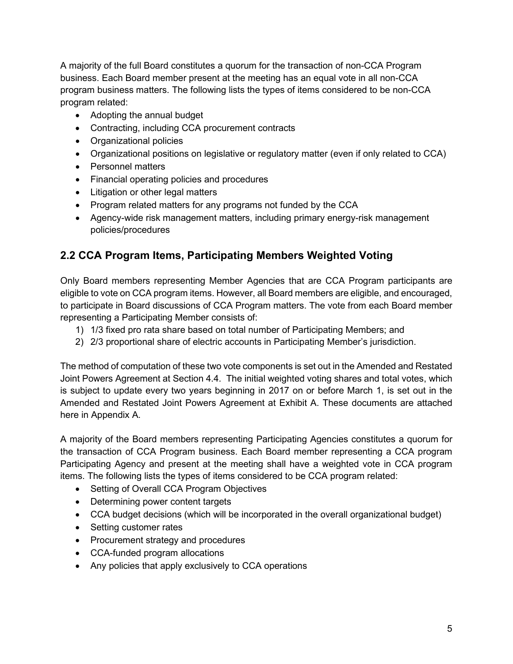A majority of the full Board constitutes a quorum for the transaction of non-CCA Program business. Each Board member present at the meeting has an equal vote in all non-CCA program business matters. The following lists the types of items considered to be non-CCA program related:

- Adopting the annual budget
- Contracting, including CCA procurement contracts
- Organizational policies
- Organizational positions on legislative or regulatory matter (even if only related to CCA)
- Personnel matters
- Financial operating policies and procedures
- Litigation or other legal matters
- Program related matters for any programs not funded by the CCA
- Agency-wide risk management matters, including primary energy-risk management policies/procedures

# **2.2 CCA Program Items, Participating Members Weighted Voting**

Only Board members representing Member Agencies that are CCA Program participants are eligible to vote on CCA program items. However, all Board members are eligible, and encouraged, to participate in Board discussions of CCA Program matters. The vote from each Board member representing a Participating Member consists of:

- 1) 1/3 fixed pro rata share based on total number of Participating Members; and
- 2) 2/3 proportional share of electric accounts in Participating Member's jurisdiction.

The method of computation of these two vote components is set out in the Amended and Restated Joint Powers Agreement at Section 4.4. The initial weighted voting shares and total votes, which is subject to update every two years beginning in 2017 on or before March 1, is set out in the Amended and Restated Joint Powers Agreement at Exhibit A. These documents are attached here in Appendix A.

A majority of the Board members representing Participating Agencies constitutes a quorum for the transaction of CCA Program business. Each Board member representing a CCA program Participating Agency and present at the meeting shall have a weighted vote in CCA program items. The following lists the types of items considered to be CCA program related:

- Setting of Overall CCA Program Objectives
- Determining power content targets
- CCA budget decisions (which will be incorporated in the overall organizational budget)
- Setting customer rates
- Procurement strategy and procedures
- CCA-funded program allocations
- Any policies that apply exclusively to CCA operations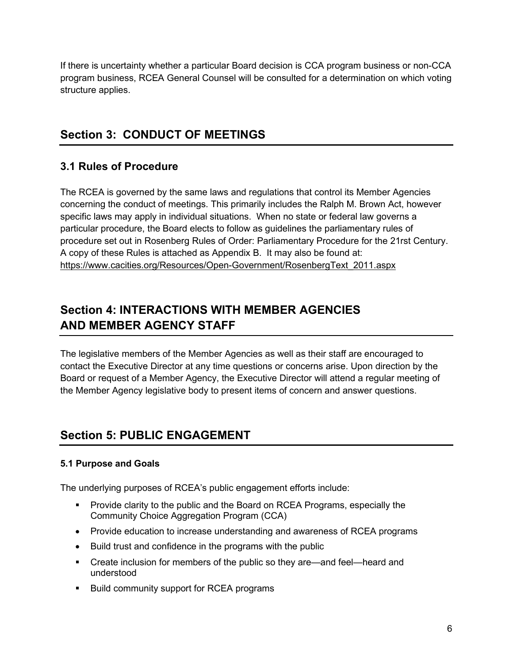If there is uncertainty whether a particular Board decision is CCA program business or non-CCA program business, RCEA General Counsel will be consulted for a determination on which voting structure applies.

# **Section 3: CONDUCT OF MEETINGS**

## **3.1 Rules of Procedure**

The RCEA is governed by the same laws and regulations that control its Member Agencies concerning the conduct of meetings. This primarily includes the Ralph M. Brown Act, however specific laws may apply in individual situations. When no state or federal law governs a particular procedure, the Board elects to follow as guidelines the parliamentary rules of procedure set out in Rosenberg Rules of Order: Parliamentary Procedure for the 21rst Century. A copy of these Rules is attached as Appendix B. It may also be found at: [https://www.cacities.org/Resources/Open-Government/RosenbergText\\_2011.aspx](https://www.cacities.org/Resources/Open-Government/RosenbergText_2011.aspx)

# **Section 4: INTERACTIONS WITH MEMBER AGENCIES AND MEMBER AGENCY STAFF**

The legislative members of the Member Agencies as well as their staff are encouraged to contact the Executive Director at any time questions or concerns arise. Upon direction by the Board or request of a Member Agency, the Executive Director will attend a regular meeting of the Member Agency legislative body to present items of concern and answer questions.

# **Section 5: PUBLIC ENGAGEMENT**

### **5.1 Purpose and Goals**

The underlying purposes of RCEA's public engagement efforts include:

- Provide clarity to the public and the Board on RCEA Programs, especially the Community Choice Aggregation Program (CCA)
- Provide education to increase understanding and awareness of RCEA programs
- Build trust and confidence in the programs with the public
- Create inclusion for members of the public so they are—and feel—heard and understood
- **Build community support for RCEA programs**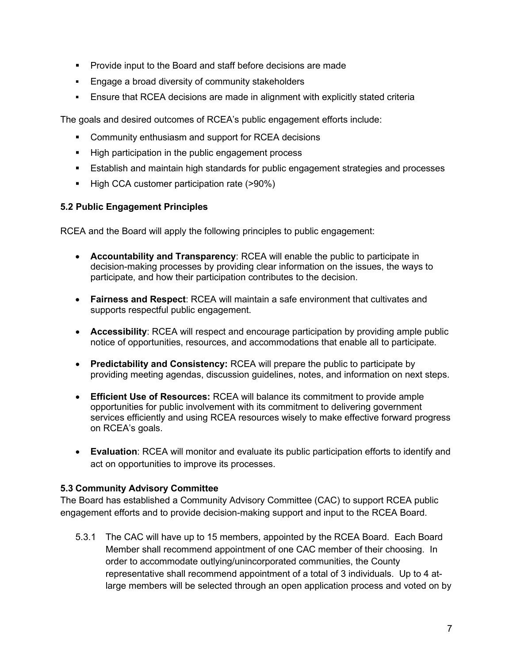- **Provide input to the Board and staff before decisions are made**
- **Engage a broad diversity of community stakeholders**
- Ensure that RCEA decisions are made in alignment with explicitly stated criteria

The goals and desired outcomes of RCEA's public engagement efforts include:

- **Community enthusiasm and support for RCEA decisions**
- **High participation in the public engagement process**
- Establish and maintain high standards for public engagement strategies and processes
- High CCA customer participation rate (>90%)

#### **5.2 Public Engagement Principles**

RCEA and the Board will apply the following principles to public engagement:

- **Accountability and Transparency**: RCEA will enable the public to participate in decision-making processes by providing clear information on the issues, the ways to participate, and how their participation contributes to the decision.
- **Fairness and Respect**: RCEA will maintain a safe environment that cultivates and supports respectful public engagement.
- **Accessibility**: RCEA will respect and encourage participation by providing ample public notice of opportunities, resources, and accommodations that enable all to participate.
- **Predictability and Consistency:** RCEA will prepare the public to participate by providing meeting agendas, discussion guidelines, notes, and information on next steps.
- **Efficient Use of Resources:** RCEA will balance its commitment to provide ample opportunities for public involvement with its commitment to delivering government services efficiently and using RCEA resources wisely to make effective forward progress on RCEA's goals.
- **Evaluation**: RCEA will monitor and evaluate its public participation efforts to identify and act on opportunities to improve its processes.

#### **5.3 Community Advisory Committee**

The Board has established a Community Advisory Committee (CAC) to support RCEA public engagement efforts and to provide decision-making support and input to the RCEA Board.

5.3.1 The CAC will have up to 15 members, appointed by the RCEA Board. Each Board Member shall recommend appointment of one CAC member of their choosing. In order to accommodate outlying/unincorporated communities, the County representative shall recommend appointment of a total of 3 individuals. Up to 4 atlarge members will be selected through an open application process and voted on by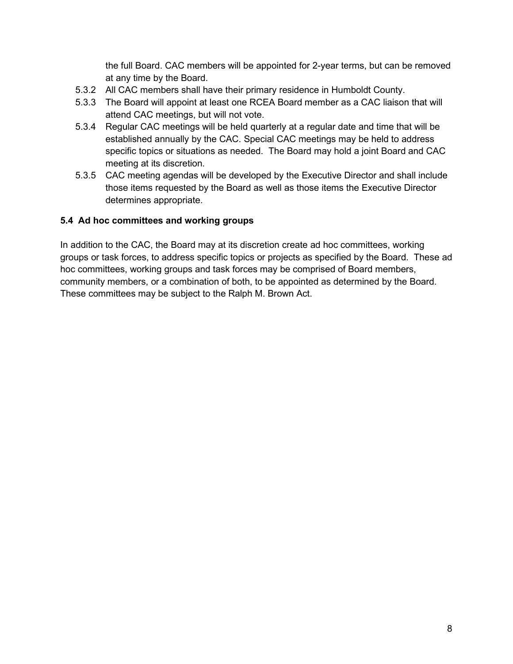the full Board. CAC members will be appointed for 2-year terms, but can be removed at any time by the Board.

- 5.3.2 All CAC members shall have their primary residence in Humboldt County.
- 5.3.3 The Board will appoint at least one RCEA Board member as a CAC liaison that will attend CAC meetings, but will not vote.
- 5.3.4 Regular CAC meetings will be held quarterly at a regular date and time that will be established annually by the CAC. Special CAC meetings may be held to address specific topics or situations as needed. The Board may hold a joint Board and CAC meeting at its discretion.
- 5.3.5 CAC meeting agendas will be developed by the Executive Director and shall include those items requested by the Board as well as those items the Executive Director determines appropriate.

#### **5.4 Ad hoc committees and working groups**

In addition to the CAC, the Board may at its discretion create ad hoc committees, working groups or task forces, to address specific topics or projects as specified by the Board. These ad hoc committees, working groups and task forces may be comprised of Board members, community members, or a combination of both, to be appointed as determined by the Board. These committees may be subject to the Ralph M. Brown Act.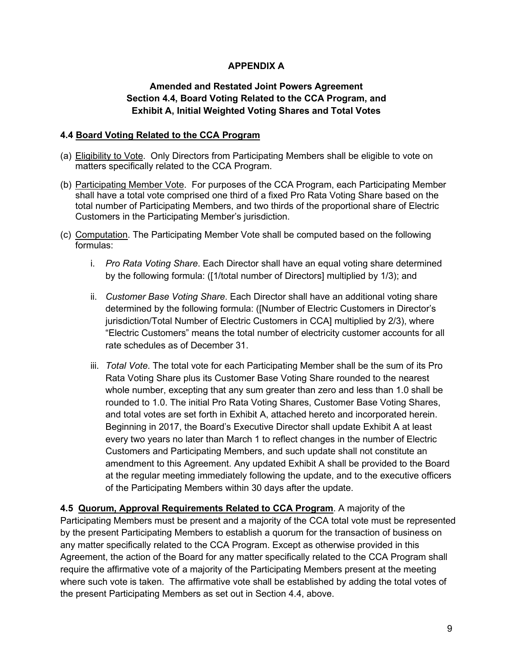### **APPENDIX A**

### **Amended and Restated Joint Powers Agreement Section 4.4, Board Voting Related to the CCA Program, and Exhibit A, Initial Weighted Voting Shares and Total Votes**

#### **4.4 Board Voting Related to the CCA Program**

- (a) Eligibility to Vote. Only Directors from Participating Members shall be eligible to vote on matters specifically related to the CCA Program.
- (b) Participating Member Vote. For purposes of the CCA Program, each Participating Member shall have a total vote comprised one third of a fixed Pro Rata Voting Share based on the total number of Participating Members, and two thirds of the proportional share of Electric Customers in the Participating Member's jurisdiction.
- (c) Computation. The Participating Member Vote shall be computed based on the following formulas:
	- i. *Pro Rata Voting Share*. Each Director shall have an equal voting share determined by the following formula: ([1/total number of Directors] multiplied by 1/3); and
	- ii. *Customer Base Voting Share*. Each Director shall have an additional voting share determined by the following formula: ([Number of Electric Customers in Director's jurisdiction/Total Number of Electric Customers in CCA] multiplied by 2/3), where "Electric Customers" means the total number of electricity customer accounts for all rate schedules as of December 31.
	- iii. *Total Vote*. The total vote for each Participating Member shall be the sum of its Pro Rata Voting Share plus its Customer Base Voting Share rounded to the nearest whole number, excepting that any sum greater than zero and less than 1.0 shall be rounded to 1.0. The initial Pro Rata Voting Shares, Customer Base Voting Shares, and total votes are set forth in Exhibit A, attached hereto and incorporated herein. Beginning in 2017, the Board's Executive Director shall update Exhibit A at least every two years no later than March 1 to reflect changes in the number of Electric Customers and Participating Members, and such update shall not constitute an amendment to this Agreement. Any updated Exhibit A shall be provided to the Board at the regular meeting immediately following the update, and to the executive officers of the Participating Members within 30 days after the update.

**4.5 Quorum, Approval Requirements Related to CCA Program**. A majority of the Participating Members must be present and a majority of the CCA total vote must be represented by the present Participating Members to establish a quorum for the transaction of business on any matter specifically related to the CCA Program. Except as otherwise provided in this Agreement, the action of the Board for any matter specifically related to the CCA Program shall require the affirmative vote of a majority of the Participating Members present at the meeting where such vote is taken. The affirmative vote shall be established by adding the total votes of the present Participating Members as set out in Section 4.4, above.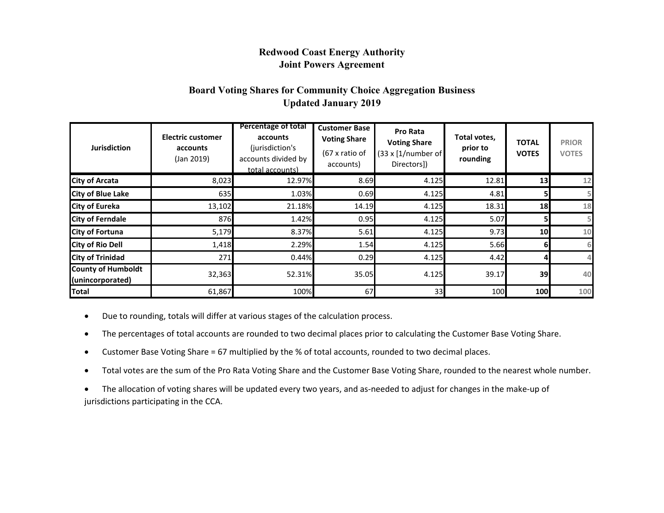### **Redwood Coast Energy Authority Joint Powers Agreement**

### **Board Voting Shares for Community Choice Aggregation Business Updated January 2019**

| <b>Jurisdiction</b>                           | <b>Electric customer</b><br>accounts<br>(Jan 2019) | <b>Percentage of total</b><br>accounts<br>(jurisdiction's<br>accounts divided by<br>total accounts) | <b>Customer Base</b><br><b>Voting Share</b><br>(67 x ratio of<br>accounts) | Pro Rata<br><b>Voting Share</b><br>(33 x [1/number of<br>Directors]) | Total votes,<br>prior to<br>rounding | <b>TOTAL</b><br><b>VOTES</b> | <b>PRIOR</b><br><b>VOTES</b> |
|-----------------------------------------------|----------------------------------------------------|-----------------------------------------------------------------------------------------------------|----------------------------------------------------------------------------|----------------------------------------------------------------------|--------------------------------------|------------------------------|------------------------------|
| <b>City of Arcata</b>                         | 8,023                                              | 12.97%                                                                                              | 8.69                                                                       | 4.125                                                                | 12.81                                | 13                           | 12                           |
| <b>City of Blue Lake</b>                      | 635                                                | 1.03%                                                                                               | 0.69                                                                       | 4.125                                                                | 4.81                                 | 51                           |                              |
| <b>City of Eureka</b>                         | 13,102                                             | 21.18%                                                                                              | 14.19                                                                      | 4.125                                                                | 18.31                                | 18                           | 18                           |
| <b>City of Ferndale</b>                       | 876                                                | 1.42%                                                                                               | 0.95                                                                       | 4.125                                                                | 5.07                                 | 5                            |                              |
| <b>City of Fortuna</b>                        | 5,179                                              | 8.37%                                                                                               | 5.61                                                                       | 4.125                                                                | 9.73                                 | 10 <sup>1</sup>              | 10                           |
| <b>City of Rio Dell</b>                       | 1,418                                              | 2.29%                                                                                               | 1.54                                                                       | 4.125                                                                | 5.66                                 | 61                           | 6                            |
| <b>City of Trinidad</b>                       | 271                                                | 0.44%                                                                                               | 0.29                                                                       | 4.125                                                                | 4.42                                 |                              |                              |
| <b>County of Humboldt</b><br>(unincorporated) | 32,363                                             | 52.31%                                                                                              | 35.05                                                                      | 4.125                                                                | 39.17                                | 39                           | 40                           |
| Total                                         | 61,867                                             | 100%                                                                                                | 67                                                                         | 33                                                                   | 100                                  | 100                          | 100                          |

• Due to rounding, totals will differ at various stages of the calculation process.

- The percentages of total accounts are rounded to two decimal places prior to calculating the Customer Base Voting Share.
- Customer Base Voting Share = 67 multiplied by the % of total accounts, rounded to two decimal places.
- Total votes are the sum of the Pro Rata Voting Share and the Customer Base Voting Share, rounded to the nearest whole number.

• The allocation of voting shares will be updated every two years, and as-needed to adjust for changes in the make-up of jurisdictions participating in the CCA.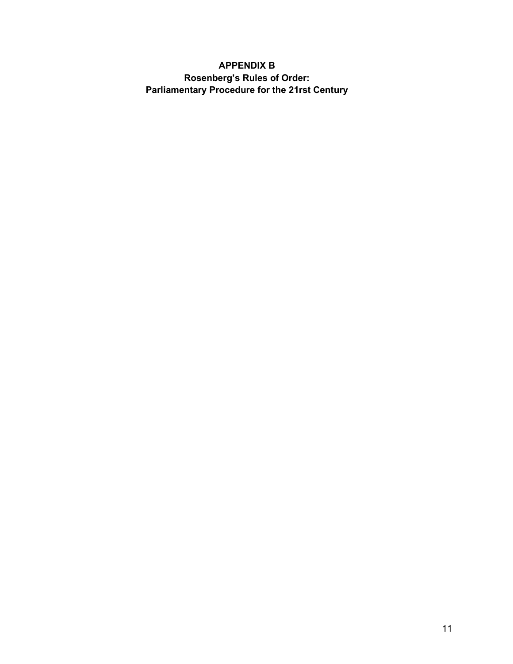### **APPENDIX B Rosenberg's Rules of Order: Parliamentary Procedure for the 21rst Century**